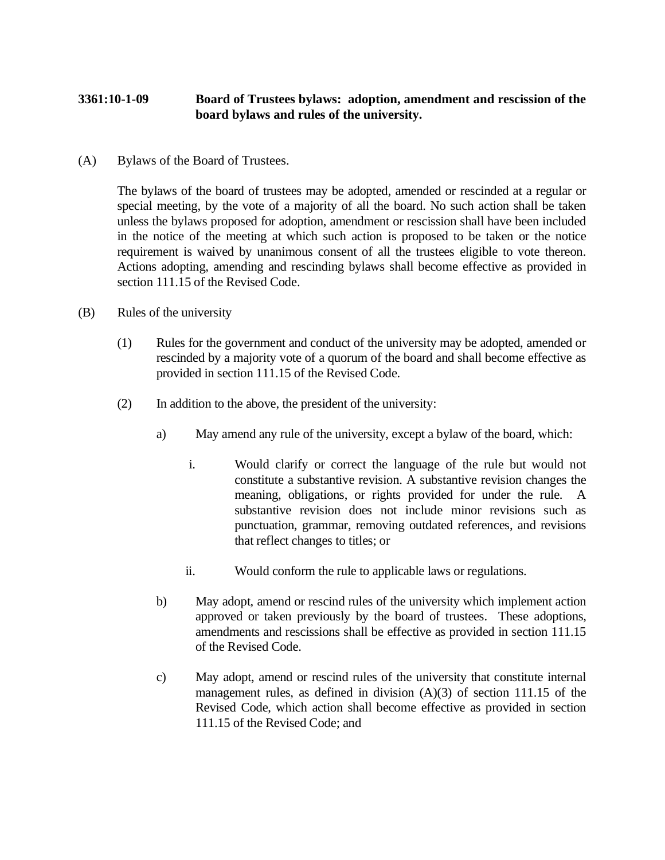## **3361:10-1-09 Board of Trustees bylaws: adoption, amendment and rescission of the board bylaws and rules of the university.**

(A) Bylaws of the Board of Trustees.

The bylaws of the board of trustees may be adopted, amended or rescinded at a regular or special meeting, by the vote of a majority of all the board. No such action shall be taken unless the bylaws proposed for adoption, amendment or rescission shall have been included in the notice of the meeting at which such action is proposed to be taken or the notice requirement is waived by unanimous consent of all the trustees eligible to vote thereon. Actions adopting, amending and rescinding bylaws shall become effective as provided in section 111.15 of the Revised Code.

- (B) Rules of the university
	- (1) Rules for the government and conduct of the university may be adopted, amended or rescinded by a majority vote of a quorum of the board and shall become effective as provided in section 111.15 of the Revised Code.
	- (2) In addition to the above, the president of the university:
		- a) May amend any rule of the university, except a bylaw of the board, which:
			- i. Would clarify or correct the language of the rule but would not constitute a substantive revision. A substantive revision changes the meaning, obligations, or rights provided for under the rule. A substantive revision does not include minor revisions such as punctuation, grammar, removing outdated references, and revisions that reflect changes to titles; or
			- ii. Would conform the rule to applicable laws or regulations.
		- b) May adopt, amend or rescind rules of the university which implement action approved or taken previously by the board of trustees. These adoptions, amendments and rescissions shall be effective as provided in section 111.15 of the Revised Code.
		- c) May adopt, amend or rescind rules of the university that constitute internal management rules, as defined in division (A)(3) of section 111.15 of the Revised Code, which action shall become effective as provided in section 111.15 of the Revised Code; and